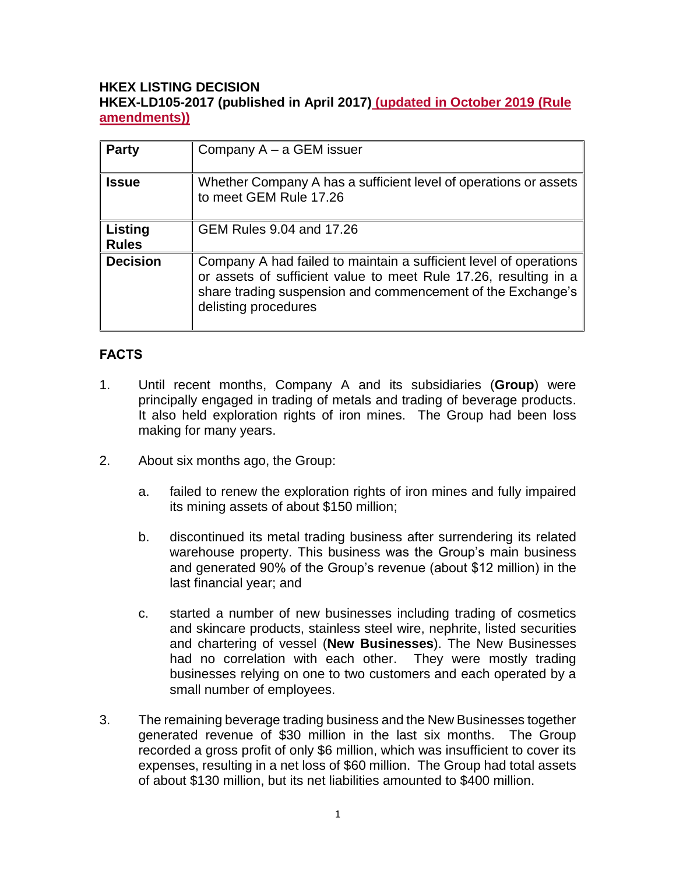### **HKEX LISTING DECISION HKEX-LD105-2017 (published in April 2017) (updated in October 2019 (Rule amendments))**

| <b>Party</b>            | Company $A - a$ GEM issuer                                                                                                                                                                                                   |
|-------------------------|------------------------------------------------------------------------------------------------------------------------------------------------------------------------------------------------------------------------------|
| <b>Issue</b>            | Whether Company A has a sufficient level of operations or assets<br>to meet GEM Rule 17.26                                                                                                                                   |
| Listing<br><b>Rules</b> | GEM Rules 9.04 and 17.26                                                                                                                                                                                                     |
| <b>Decision</b>         | Company A had failed to maintain a sufficient level of operations<br>or assets of sufficient value to meet Rule 17.26, resulting in a<br>share trading suspension and commencement of the Exchange's<br>delisting procedures |

## **FACTS**

- 1. Until recent months, Company A and its subsidiaries (**Group**) were principally engaged in trading of metals and trading of beverage products. It also held exploration rights of iron mines. The Group had been loss making for many years.
- 2. About six months ago, the Group:
	- a. failed to renew the exploration rights of iron mines and fully impaired its mining assets of about \$150 million;
	- b. discontinued its metal trading business after surrendering its related warehouse property. This business was the Group's main business and generated 90% of the Group's revenue (about \$12 million) in the last financial year; and
	- c. started a number of new businesses including trading of cosmetics and skincare products, stainless steel wire, nephrite, listed securities and chartering of vessel (**New Businesses**). The New Businesses had no correlation with each other. They were mostly trading businesses relying on one to two customers and each operated by a small number of employees.
- 3. The remaining beverage trading business and the New Businesses together generated revenue of \$30 million in the last six months. The Group recorded a gross profit of only \$6 million, which was insufficient to cover its expenses, resulting in a net loss of \$60 million. The Group had total assets of about \$130 million, but its net liabilities amounted to \$400 million.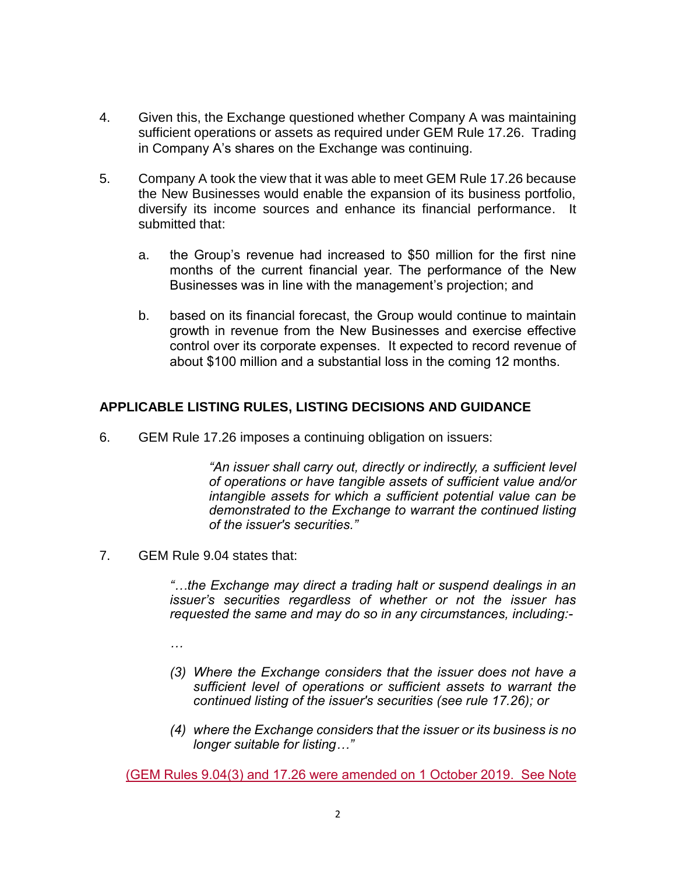- 4. Given this, the Exchange questioned whether Company A was maintaining sufficient operations or assets as required under GEM Rule 17.26. Trading in Company A's shares on the Exchange was continuing.
- 5. Company A took the view that it was able to meet GEM Rule 17.26 because the New Businesses would enable the expansion of its business portfolio, diversify its income sources and enhance its financial performance. It submitted that:
	- a. the Group's revenue had increased to \$50 million for the first nine months of the current financial year. The performance of the New Businesses was in line with the management's projection; and
	- b. based on its financial forecast, the Group would continue to maintain growth in revenue from the New Businesses and exercise effective control over its corporate expenses. It expected to record revenue of about \$100 million and a substantial loss in the coming 12 months.

### **APPLICABLE LISTING RULES, LISTING DECISIONS AND GUIDANCE**

6. GEM Rule 17.26 imposes a continuing obligation on issuers:

*"An issuer shall carry out, directly or indirectly, a sufficient level of operations or have tangible assets of sufficient value and/or intangible assets for which a sufficient potential value can be demonstrated to the Exchange to warrant the continued listing of the issuer's securities."*

7. GEM Rule 9.04 states that:

*"…the Exchange may direct a trading halt or suspend dealings in an issuer's securities regardless of whether or not the issuer has requested the same and may do so in any circumstances, including:-*

*…*

- *(3) Where the Exchange considers that the issuer does not have a sufficient level of operations or sufficient assets to warrant the continued listing of the issuer's securities (see rule 17.26); or*
- *(4) where the Exchange considers that the issuer or its business is no longer suitable for listing…"*

(GEM Rules 9.04(3) and 17.26 were amended on 1 October 2019. See Note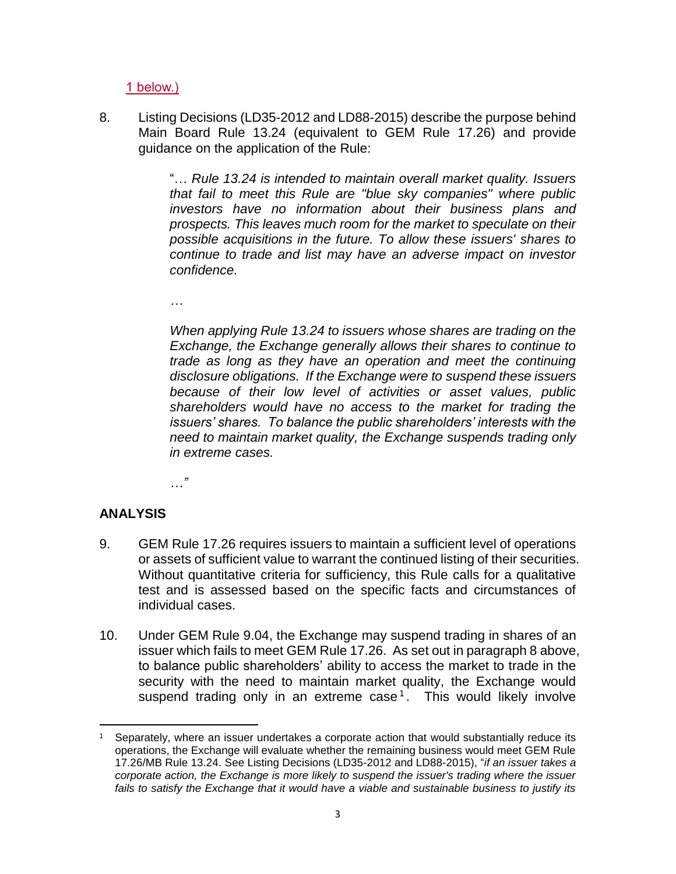1 below.)

8. Listing Decisions (LD35-2012 and LD88-2015) describe the purpose behind Main Board Rule 13.24 (equivalent to GEM Rule 17.26) and provide guidance on the application of the Rule:

> "… *Rule 13.24 is intended to maintain overall market quality. Issuers that fail to meet this Rule are "blue sky companies" where public investors have no information about their business plans and prospects. This leaves much room for the market to speculate on their possible acquisitions in the future. To allow these issuers' shares to continue to trade and list may have an adverse impact on investor confidence.*

*…* 

*When applying Rule 13.24 to issuers whose shares are trading on the Exchange, the Exchange generally allows their shares to continue to trade as long as they have an operation and meet the continuing disclosure obligations. If the Exchange were to suspend these issuers because of their low level of activities or asset values, public shareholders would have no access to the market for trading the issuers' shares. To balance the public shareholders' interests with the need to maintain market quality, the Exchange suspends trading only in extreme cases.*

*…"*

### **ANALYSIS**

- 9. GEM Rule 17.26 requires issuers to maintain a sufficient level of operations or assets of sufficient value to warrant the continued listing of their securities. Without quantitative criteria for sufficiency, this Rule calls for a qualitative test and is assessed based on the specific facts and circumstances of individual cases.
- 10. Under GEM Rule 9.04, the Exchange may suspend trading in shares of an issuer which fails to meet GEM Rule 17.26. As set out in paragraph 8 above, to balance public shareholders' ability to access the market to trade in the security with the need to maintain market quality, the Exchange would suspend trading only in an extreme case<sup>1</sup>. This would likely involve

 $\overline{a}$ Separately, where an issuer undertakes a corporate action that would substantially reduce its operations, the Exchange will evaluate whether the remaining business would meet GEM Rule 17.26/MB Rule 13.24. See Listing Decisions (LD35-2012 and LD88-2015), "*if an issuer takes a corporate action, the Exchange is more likely to suspend the issuer's trading where the issuer*  fails to satisfy the Exchange that it would have a viable and sustainable business to justify its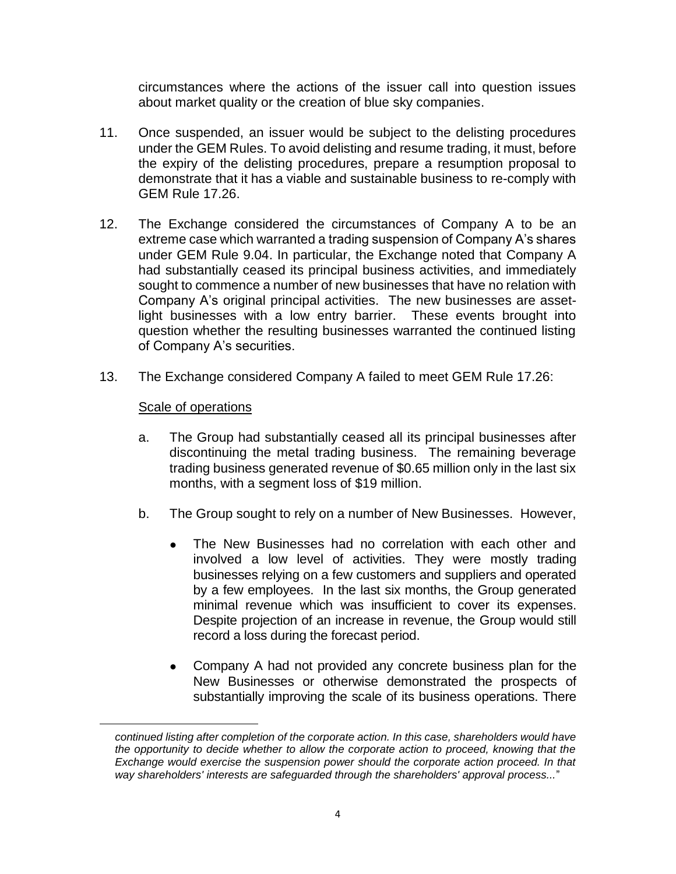circumstances where the actions of the issuer call into question issues about market quality or the creation of blue sky companies.

- 11. Once suspended, an issuer would be subject to the delisting procedures under the GEM Rules. To avoid delisting and resume trading, it must, before the expiry of the delisting procedures, prepare a resumption proposal to demonstrate that it has a viable and sustainable business to re-comply with GEM Rule 17.26.
- 12. The Exchange considered the circumstances of Company A to be an extreme case which warranted a trading suspension of Company A's shares under GEM Rule 9.04. In particular, the Exchange noted that Company A had substantially ceased its principal business activities, and immediately sought to commence a number of new businesses that have no relation with Company A's original principal activities. The new businesses are assetlight businesses with a low entry barrier. These events brought into question whether the resulting businesses warranted the continued listing of Company A's securities.
- 13. The Exchange considered Company A failed to meet GEM Rule 17.26:

#### Scale of operations

 $\overline{a}$ 

- a. The Group had substantially ceased all its principal businesses after discontinuing the metal trading business. The remaining beverage trading business generated revenue of \$0.65 million only in the last six months, with a segment loss of \$19 million.
- b. The Group sought to rely on a number of New Businesses. However,
	- The New Businesses had no correlation with each other and involved a low level of activities. They were mostly trading businesses relying on a few customers and suppliers and operated by a few employees. In the last six months, the Group generated minimal revenue which was insufficient to cover its expenses. Despite projection of an increase in revenue, the Group would still record a loss during the forecast period.
	- Company A had not provided any concrete business plan for the New Businesses or otherwise demonstrated the prospects of substantially improving the scale of its business operations. There

*continued listing after completion of the corporate action. In this case, shareholders would have the opportunity to decide whether to allow the corporate action to proceed, knowing that the Exchange would exercise the suspension power should the corporate action proceed. In that way shareholders' interests are safeguarded through the shareholders' approval process...*"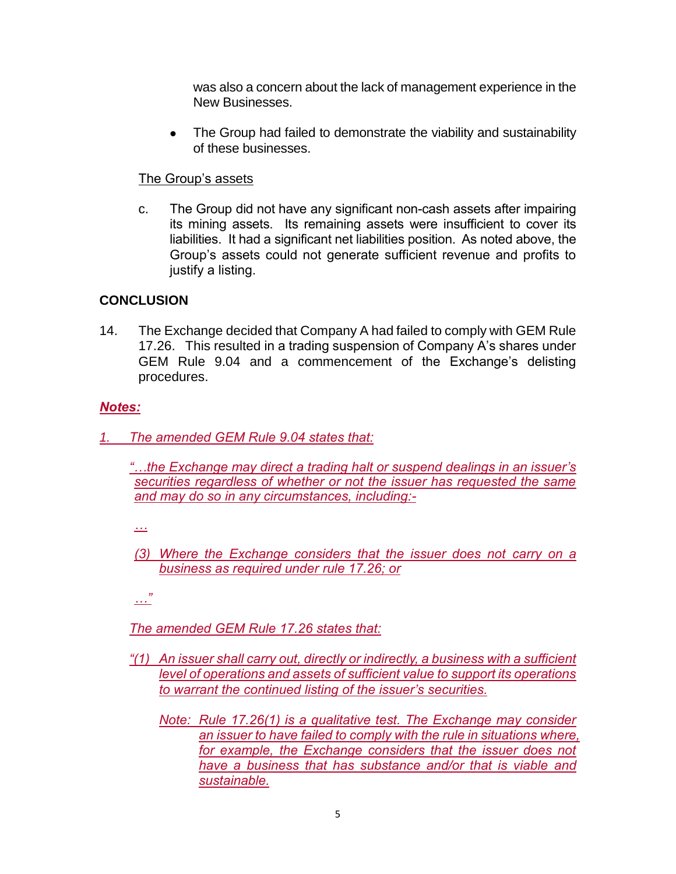was also a concern about the lack of management experience in the New Businesses.

• The Group had failed to demonstrate the viability and sustainability of these businesses.

### The Group's assets

c. The Group did not have any significant non-cash assets after impairing its mining assets. Its remaining assets were insufficient to cover its liabilities. It had a significant net liabilities position. As noted above, the Group's assets could not generate sufficient revenue and profits to justify a listing.

# **CONCLUSION**

14. The Exchange decided that Company A had failed to comply with GEM Rule 17.26. This resulted in a trading suspension of Company A's shares under GEM Rule 9.04 and a commencement of the Exchange's delisting procedures.

## *Notes:*

- *1. The amended GEM Rule 9.04 states that:*
	- *"…the Exchange may direct a trading halt or suspend dealings in an issuer's securities regardless of whether or not the issuer has requested the same and may do so in any circumstances, including:-*
	- *…*
	- *(3) Where the Exchange considers that the issuer does not carry on a business as required under rule 17.26; or*

*…"*

## *The amended GEM Rule 17.26 states that:*

- *"(1) An issuer shall carry out, directly or indirectly, a business with a sufficient level of operations and assets of sufficient value to support its operations to warrant the continued listing of the issuer's securities.*
	- *Note: Rule 17.26(1) is a qualitative test. The Exchange may consider an issuer to have failed to comply with the rule in situations where, for example, the Exchange considers that the issuer does not have a business that has substance and/or that is viable and sustainable.*